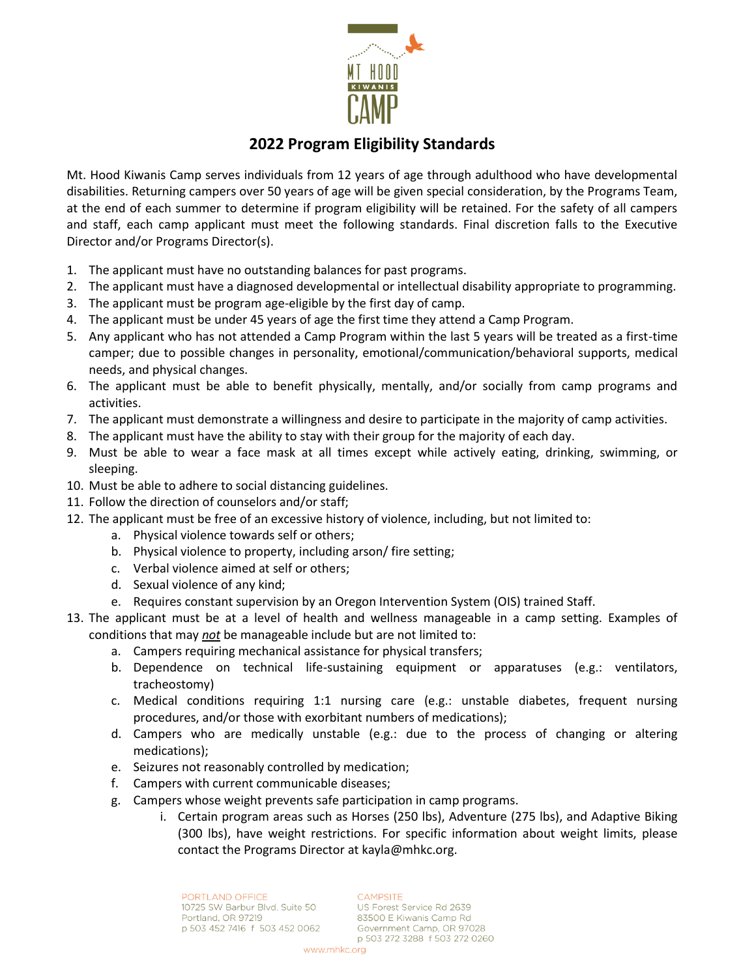

# **2022 Program Eligibility Standards**

Mt. Hood Kiwanis Camp serves individuals from 12 years of age through adulthood who have developmental disabilities. Returning campers over 50 years of age will be given special consideration, by the Programs Team, at the end of each summer to determine if program eligibility will be retained. For the safety of all campers and staff, each camp applicant must meet the following standards. Final discretion falls to the Executive Director and/or Programs Director(s).

- 1. The applicant must have no outstanding balances for past programs.
- 2. The applicant must have a diagnosed developmental or intellectual disability appropriate to programming.
- 3. The applicant must be program age-eligible by the first day of camp.
- 4. The applicant must be under 45 years of age the first time they attend a Camp Program.
- 5. Any applicant who has not attended a Camp Program within the last 5 years will be treated as a first-time camper; due to possible changes in personality, emotional/communication/behavioral supports, medical needs, and physical changes.
- 6. The applicant must be able to benefit physically, mentally, and/or socially from camp programs and activities.
- 7. The applicant must demonstrate a willingness and desire to participate in the majority of camp activities.
- 8. The applicant must have the ability to stay with their group for the majority of each day.
- 9. Must be able to wear a face mask at all times except while actively eating, drinking, swimming, or sleeping.
- 10. Must be able to adhere to social distancing guidelines.
- 11. Follow the direction of counselors and/or staff;
- 12. The applicant must be free of an excessive history of violence, including, but not limited to:
	- a. Physical violence towards self or others;
	- b. Physical violence to property, including arson/ fire setting;
	- c. Verbal violence aimed at self or others;
	- d. Sexual violence of any kind;
	- e. Requires constant supervision by an Oregon Intervention System (OIS) trained Staff.
- 13. The applicant must be at a level of health and wellness manageable in a camp setting. Examples of conditions that may *not* be manageable include but are not limited to:
	- a. Campers requiring mechanical assistance for physical transfers;
	- b. Dependence on technical life-sustaining equipment or apparatuses (e.g.: ventilators, tracheostomy)
	- c. Medical conditions requiring 1:1 nursing care (e.g.: unstable diabetes, frequent nursing procedures, and/or those with exorbitant numbers of medications);
	- d. Campers who are medically unstable (e.g.: due to the process of changing or altering medications);
	- e. Seizures not reasonably controlled by medication;
	- f. Campers with current communicable diseases;
	- g. Campers whose weight prevents safe participation in camp programs.
		- i. Certain program areas such as Horses (250 lbs), Adventure (275 lbs), and Adaptive Biking (300 lbs), have weight restrictions. For specific information about weight limits, please contact the Programs Director at kayla@mhkc.org.

PORTLAND OFFICE 10725 SW Barbur Blvd, Suite 50 Portland, OR 97219 p 503 452 7416 f 503 452 0062 **CAMPSITE** 

US Forest Service Rd 2639 83500 E Kiwanis Camp Rd Government Camp, OR 97028 p 503 272 3288 f 503 272 0260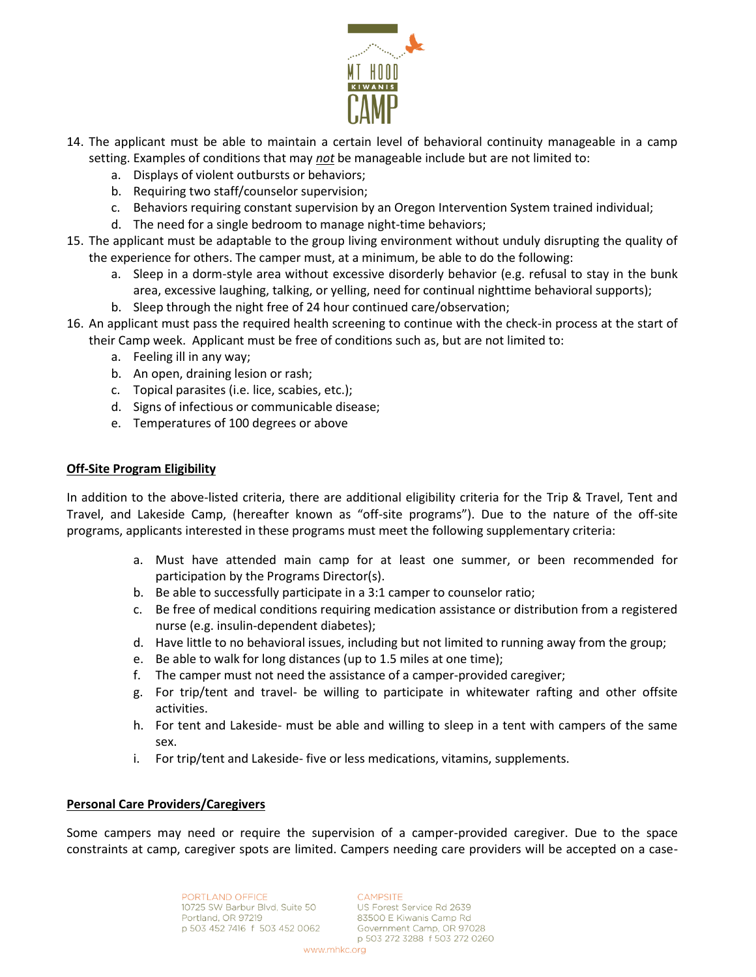

- 14. The applicant must be able to maintain a certain level of behavioral continuity manageable in a camp setting. Examples of conditions that may *not* be manageable include but are not limited to:
	- a. Displays of violent outbursts or behaviors;
	- b. Requiring two staff/counselor supervision;
	- c. Behaviors requiring constant supervision by an Oregon Intervention System trained individual;
	- d. The need for a single bedroom to manage night-time behaviors;
- 15. The applicant must be adaptable to the group living environment without unduly disrupting the quality of the experience for others. The camper must, at a minimum, be able to do the following:
	- a. Sleep in a dorm-style area without excessive disorderly behavior (e.g. refusal to stay in the bunk area, excessive laughing, talking, or yelling, need for continual nighttime behavioral supports);
	- b. Sleep through the night free of 24 hour continued care/observation;
- 16. An applicant must pass the required health screening to continue with the check-in process at the start of their Camp week. Applicant must be free of conditions such as, but are not limited to:
	- a. Feeling ill in any way;
	- b. An open, draining lesion or rash;
	- c. Topical parasites (i.e. lice, scabies, etc.);
	- d. Signs of infectious or communicable disease;
	- e. Temperatures of 100 degrees or above

### **Off-Site Program Eligibility**

In addition to the above-listed criteria, there are additional eligibility criteria for the Trip & Travel, Tent and Travel, and Lakeside Camp, (hereafter known as "off-site programs"). Due to the nature of the off-site programs, applicants interested in these programs must meet the following supplementary criteria:

- a. Must have attended main camp for at least one summer, or been recommended for participation by the Programs Director(s).
- b. Be able to successfully participate in a 3:1 camper to counselor ratio;
- c. Be free of medical conditions requiring medication assistance or distribution from a registered nurse (e.g. insulin-dependent diabetes);
- d. Have little to no behavioral issues, including but not limited to running away from the group;
- e. Be able to walk for long distances (up to 1.5 miles at one time);
- f. The camper must not need the assistance of a camper-provided caregiver;
- g. For trip/tent and travel- be willing to participate in whitewater rafting and other offsite activities.
- h. For tent and Lakeside- must be able and willing to sleep in a tent with campers of the same sex.
- i. For trip/tent and Lakeside- five or less medications, vitamins, supplements.

### **Personal Care Providers/Caregivers**

Some campers may need or require the supervision of a camper-provided caregiver. Due to the space constraints at camp, caregiver spots are limited. Campers needing care providers will be accepted on a case-

> PORTLAND OFFICE 10725 SW Barbur Blvd, Suite 50 Portland, OR 97219 p 503 452 7416 f 503 452 0062

**CAMPSITE** US Forest Service Rd 2639

83500 E Kiwanis Camp Rd Government Camp, OR 97028 p 503 272 3288 f 503 272 0260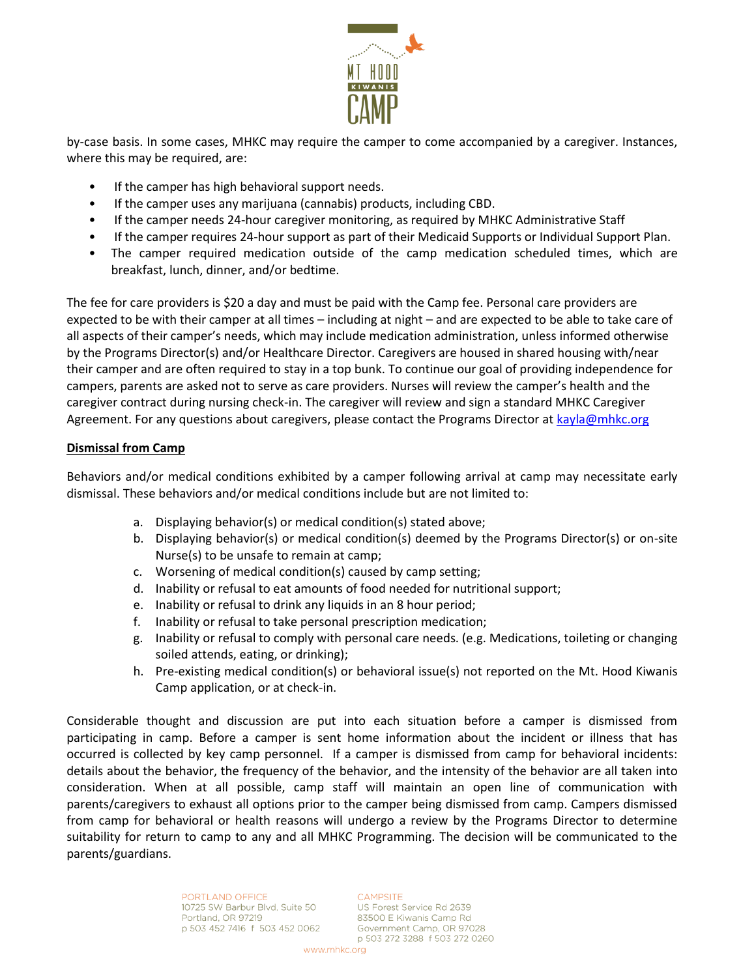

by-case basis. In some cases, MHKC may require the camper to come accompanied by a caregiver. Instances, where this may be required, are:

- If the camper has high behavioral support needs.
- If the camper uses any marijuana (cannabis) products, including CBD.
- If the camper needs 24-hour caregiver monitoring, as required by MHKC Administrative Staff
- If the camper requires 24-hour support as part of their Medicaid Supports or Individual Support Plan.
- The camper required medication outside of the camp medication scheduled times, which are breakfast, lunch, dinner, and/or bedtime.

The fee for care providers is \$20 a day and must be paid with the Camp fee. Personal care providers are expected to be with their camper at all times – including at night – and are expected to be able to take care of all aspects of their camper's needs, which may include medication administration, unless informed otherwise by the Programs Director(s) and/or Healthcare Director. Caregivers are housed in shared housing with/near their camper and are often required to stay in a top bunk. To continue our goal of providing independence for campers, parents are asked not to serve as care providers. Nurses will review the camper's health and the caregiver contract during nursing check-in. The caregiver will review and sign a standard MHKC Caregiver Agreement. For any questions about caregivers, please contact the Programs Director at [kayla@mhkc.org](mailto:kayla@mhkc.org)

### **Dismissal from Camp**

Behaviors and/or medical conditions exhibited by a camper following arrival at camp may necessitate early dismissal. These behaviors and/or medical conditions include but are not limited to:

- a. Displaying behavior(s) or medical condition(s) stated above;
- b. Displaying behavior(s) or medical condition(s) deemed by the Programs Director(s) or on-site Nurse(s) to be unsafe to remain at camp;
- c. Worsening of medical condition(s) caused by camp setting;
- d. Inability or refusal to eat amounts of food needed for nutritional support;
- e. Inability or refusal to drink any liquids in an 8 hour period;
- f. Inability or refusal to take personal prescription medication;
- g. Inability or refusal to comply with personal care needs. (e.g. Medications, toileting or changing soiled attends, eating, or drinking);
- h. Pre-existing medical condition(s) or behavioral issue(s) not reported on the Mt. Hood Kiwanis Camp application, or at check-in.

Considerable thought and discussion are put into each situation before a camper is dismissed from participating in camp. Before a camper is sent home information about the incident or illness that has occurred is collected by key camp personnel. If a camper is dismissed from camp for behavioral incidents: details about the behavior, the frequency of the behavior, and the intensity of the behavior are all taken into consideration. When at all possible, camp staff will maintain an open line of communication with parents/caregivers to exhaust all options prior to the camper being dismissed from camp. Campers dismissed from camp for behavioral or health reasons will undergo a review by the Programs Director to determine suitability for return to camp to any and all MHKC Programming. The decision will be communicated to the parents/guardians.

> PORTLAND OFFICE 10725 SW Barbur Blvd, Suite 50 Portland, OR 97219 p 503 452 7416 f 503 452 0062

#### CAMPSITE

US Forest Service Rd 2639 83500 E Kiwanis Camp Rd Government Camp, OR 97028 p 503 272 3288 f 503 272 0260